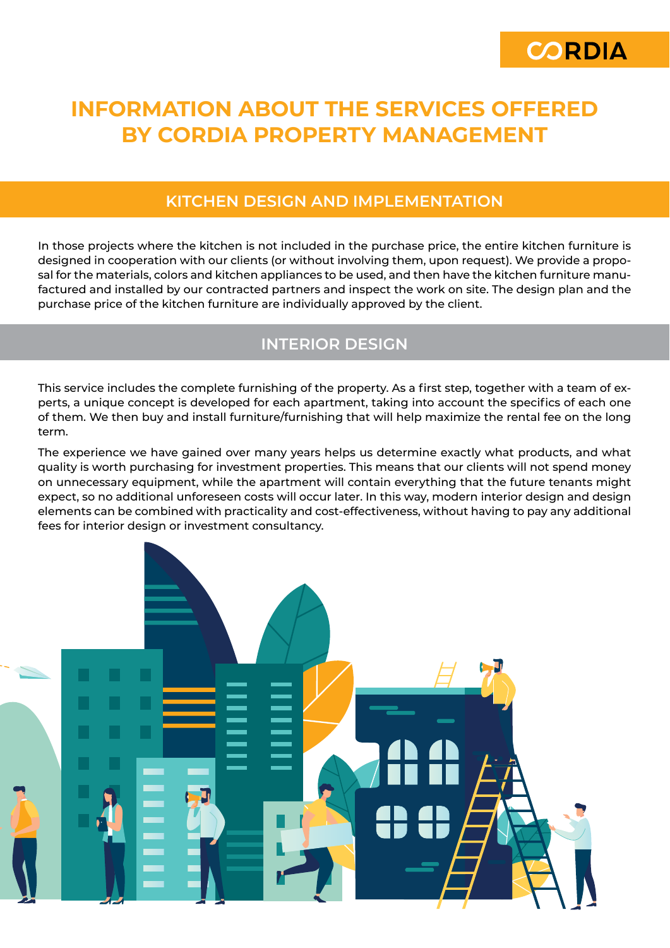

# **INFORMATION ABOUT THE SERVICES OFFERED BY CORDIA PROPERTY MANAGEMENT**

#### **KITCHEN DESIGN AND IMPLEMENTATION**

In those projects where the kitchen is not included in the purchase price, the entire kitchen furniture is designed in cooperation with our clients (or without involving them, upon request). We provide a proposal for the materials, colors and kitchen appliances to be used, and then have the kitchen furniture manufactured and installed by our contracted partners and inspect the work on site. The design plan and the purchase price of the kitchen furniture are individually approved by the client.

## **INTERIOR DESIGN**

This service includes the complete furnishing of the property. As a first step, together with a team of experts, a unique concept is developed for each apartment, taking into account the specifics of each one of them. We then buy and install furniture/furnishing that will help maximize the rental fee on the long term.

The experience we have gained over many years helps us determine exactly what products, and what quality is worth purchasing for investment properties. This means that our clients will not spend money on unnecessary equipment, while the apartment will contain everything that the future tenants might expect, so no additional unforeseen costs will occur later. In this way, modern interior design and design elements can be combined with practicality and cost-effectiveness, without having to pay any additional fees for interior design or investment consultancy.

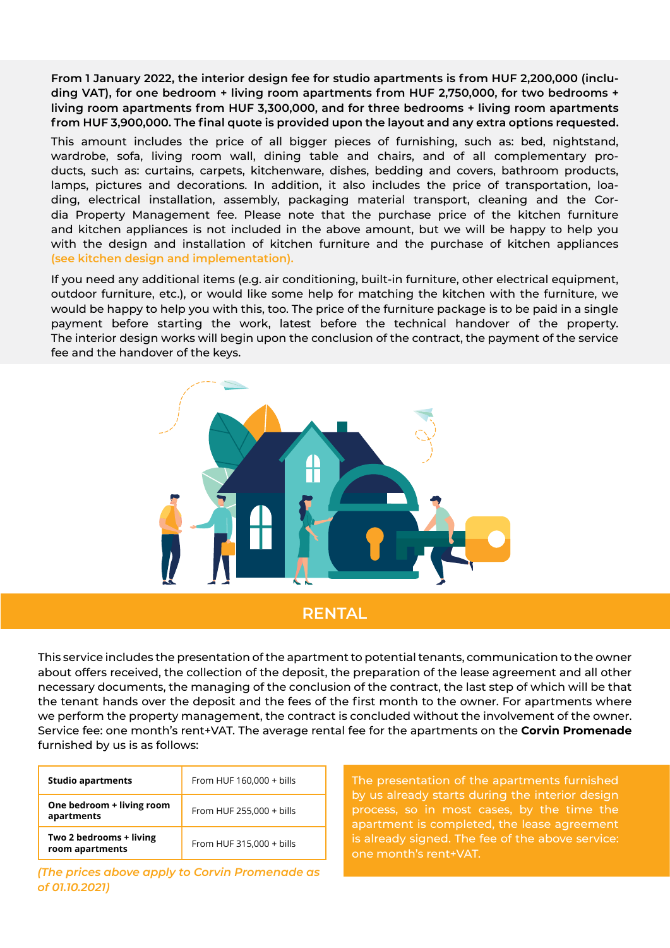**From 1 January 2022, the interior design fee for studio apartments is from HUF 2,200,000 (including VAT), for one bedroom + living room apartments from HUF 2,750,000, for two bedrooms + living room apartments from HUF 3,300,000, and for three bedrooms + living room apartments from HUF 3,900,000. The final quote is provided upon the layout and any extra options requested.**

This amount includes the price of all bigger pieces of furnishing, such as: bed, nightstand, wardrobe, sofa, living room wall, dining table and chairs, and of all complementary products, such as: curtains, carpets, kitchenware, dishes, bedding and covers, bathroom products, lamps, pictures and decorations. In addition, it also includes the price of transportation, loading, electrical installation, assembly, packaging material transport, cleaning and the Cordia Property Management fee. Please note that the purchase price of the kitchen furniture and kitchen appliances is not included in the above amount, but we will be happy to help you with the design and installation of kitchen furniture and the purchase of kitchen appliances **(see kitchen design and implementation).**

If you need any additional items (e.g. air conditioning, built-in furniture, other electrical equipment, outdoor furniture, etc.), or would like some help for matching the kitchen with the furniture, we would be happy to help you with this, too. The price of the furniture package is to be paid in a single payment before starting the work, latest before the technical handover of the property. The interior design works will begin upon the conclusion of the contract, the payment of the service fee and the handover of the keys.



#### **RENTAL**

This service includes the presentation of the apartment to potential tenants, communication to the owner about offers received, the collection of the deposit, the preparation of the lease agreement and all other necessary documents, the managing of the conclusion of the contract, the last step of which will be that the tenant hands over the deposit and the fees of the first month to the owner. For apartments where we perform the property management, the contract is concluded without the involvement of the owner. Service fee: one month's rent+VAT. The average rental fee for the apartments on the **Corvin Promenade**  furnished by us is as follows:

| <b>Studio apartments</b>                   | From HUF 160,000 + bills |
|--------------------------------------------|--------------------------|
| One bedroom + living room<br>apartments    | From HUF 255,000 + bills |
| Two 2 bedrooms + living<br>room apartments | From HUF 315,000 + bills |

*(The prices above apply to Corvin Promenade as of 01.10.2021)*

The presentation of the apartments furnished by us already starts during the interior design process, so in most cases, by the time the apartment is completed, the lease agreement is already signed. The fee of the above service: one month's rent+VAT.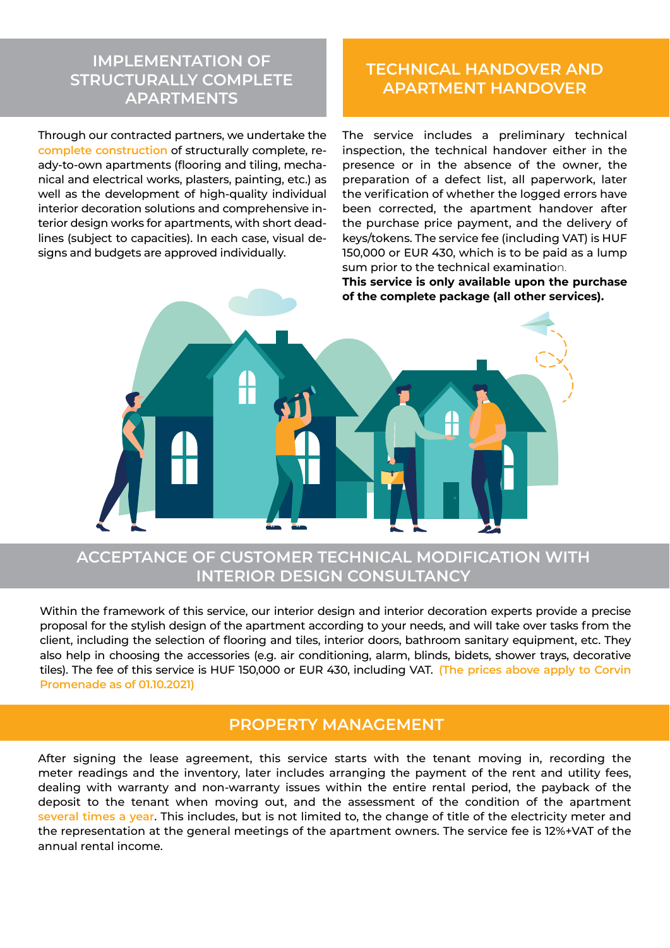## **IMPLEMENTATION OF STRUCTURALLY COMPLETE APARTMENTS**

Through our contracted partners, we undertake the **complete construction** of structurally complete, ready-to-own apartments (flooring and tiling, mechanical and electrical works, plasters, painting, etc.) as well as the development of high-quality individual interior decoration solutions and comprehensive interior design works for apartments, with short deadlines (subject to capacities). In each case, visual designs and budgets are approved individually.

## **TECHNICAL HANDOVER AND APARTMENT HANDOVER**

The service includes a preliminary technical inspection, the technical handover either in the presence or in the absence of the owner, the preparation of a defect list, all paperwork, later the verification of whether the logged errors have been corrected, the apartment handover after the purchase price payment, and the delivery of keys/tokens. The service fee (including VAT) is HUF 150,000 or EUR 430, which is to be paid as a lump sum prior to the technical examination.

**This service is only available upon the purchase of the complete package (all other services).**



#### **ACCEPTANCE OF CUSTOMER TECHNICAL MODIFICATION WITH INTERIOR DESIGN CONSULTANCY**

Within the framework of this service, our interior design and interior decoration experts provide a precise proposal for the stylish design of the apartment according to your needs, and will take over tasks from the client, including the selection of flooring and tiles, interior doors, bathroom sanitary equipment, etc. They also help in choosing the accessories (e.g. air conditioning, alarm, blinds, bidets, shower trays, decorative tiles). The fee of this service is HUF 150,000 or EUR 430, including VAT. **(The prices above apply to Corvin Promenade as of 01.10.2021)**

#### **PROPERTY MANAGEMENT**

After signing the lease agreement, this service starts with the tenant moving in, recording the meter readings and the inventory, later includes arranging the payment of the rent and utility fees, dealing with warranty and non-warranty issues within the entire rental period, the payback of the deposit to the tenant when moving out, and the assessment of the condition of the apartment **several times a year**. This includes, but is not limited to, the change of title of the electricity meter and the representation at the general meetings of the apartment owners. The service fee is 12%+VAT of the annual rental income.